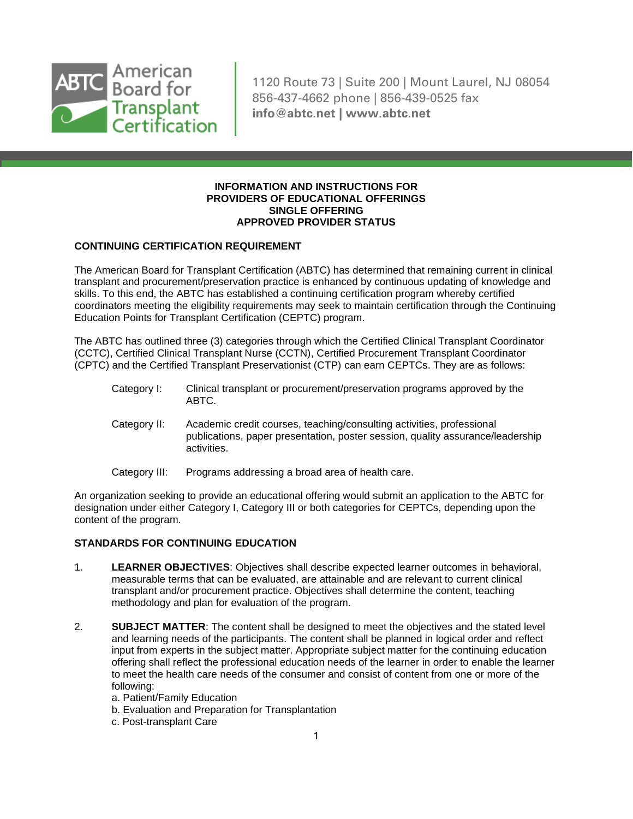

1120 Route 73 | Suite 200 | Mount Laurel, NJ 08054 856-437-4662 phone | 856-439-0525 fax **info@abtc.net | www.abtc.net**

### **INFORMATION AND INSTRUCTIONS FOR PROVIDERS OF EDUCATIONAL OFFERINGS SINGLE OFFERING APPROVED PROVIDER STATUS**

## **CONTINUING CERTIFICATION REQUIREMENT**

The American Board for Transplant Certification (ABTC) has determined that remaining current in clinical transplant and procurement/preservation practice is enhanced by continuous updating of knowledge and skills. To this end, the ABTC has established a continuing certification program whereby certified coordinators meeting the eligibility requirements may seek to maintain certification through the Continuing Education Points for Transplant Certification (CEPTC) program.

The ABTC has outlined three (3) categories through which the Certified Clinical Transplant Coordinator (CCTC), Certified Clinical Transplant Nurse (CCTN), Certified Procurement Transplant Coordinator (CPTC) and the Certified Transplant Preservationist (CTP) can earn CEPTCs. They are as follows:

- Category I: Clinical transplant or procurement/preservation programs approved by the ABTC.
- Category II: Academic credit courses, teaching/consulting activities, professional publications, paper presentation, poster session, quality assurance/leadership activities.
- Category III: Programs addressing a broad area of health care.

An organization seeking to provide an educational offering would submit an application to the ABTC for designation under either Category I, Category III or both categories for CEPTCs, depending upon the content of the program.

# **STANDARDS FOR CONTINUING EDUCATION**

- 1. **LEARNER OBJECTIVES**: Objectives shall describe expected learner outcomes in behavioral, measurable terms that can be evaluated, are attainable and are relevant to current clinical transplant and/or procurement practice. Objectives shall determine the content, teaching methodology and plan for evaluation of the program.
- 2. **SUBJECT MATTER**: The content shall be designed to meet the objectives and the stated level and learning needs of the participants. The content shall be planned in logical order and reflect input from experts in the subject matter. Appropriate subject matter for the continuing education offering shall reflect the professional education needs of the learner in order to enable the learner to meet the health care needs of the consumer and consist of content from one or more of the following:
	- a. Patient/Family Education
	- b. Evaluation and Preparation for Transplantation
	- c. Post-transplant Care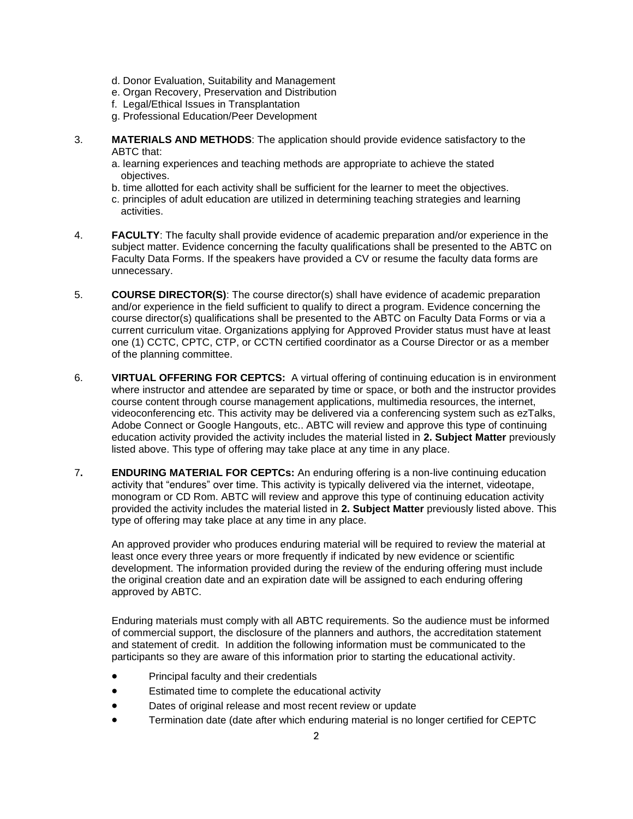- d. Donor Evaluation, Suitability and Management
- e. Organ Recovery, Preservation and Distribution
- f. Legal/Ethical Issues in Transplantation
- g. Professional Education/Peer Development
- 3. **MATERIALS AND METHODS**: The application should provide evidence satisfactory to the ABTC that:
	- a. learning experiences and teaching methods are appropriate to achieve the stated objectives.
	- b. time allotted for each activity shall be sufficient for the learner to meet the objectives.
	- c. principles of adult education are utilized in determining teaching strategies and learning activities.
- 4. **FACULTY**: The faculty shall provide evidence of academic preparation and/or experience in the subject matter. Evidence concerning the faculty qualifications shall be presented to the ABTC on Faculty Data Forms. If the speakers have provided a CV or resume the faculty data forms are unnecessary.
- 5. **COURSE DIRECTOR(S)**: The course director(s) shall have evidence of academic preparation and/or experience in the field sufficient to qualify to direct a program. Evidence concerning the course director(s) qualifications shall be presented to the ABTC on Faculty Data Forms or via a current curriculum vitae. Organizations applying for Approved Provider status must have at least one (1) CCTC, CPTC, CTP, or CCTN certified coordinator as a Course Director or as a member of the planning committee.
- 6. **VIRTUAL OFFERING FOR CEPTCS:** A virtual offering of continuing education is in environment where instructor and attendee are separated by time or space, or both and the instructor provides course content through course management applications, multimedia resources, the internet, videoconferencing etc. This activity may be delivered via a conferencing system such as ezTalks, Adobe Connect or Google Hangouts, etc.. ABTC will review and approve this type of continuing education activity provided the activity includes the material listed in **2. Subject Matter** previously listed above. This type of offering may take place at any time in any place.
- 7**. ENDURING MATERIAL FOR CEPTCs:** An enduring offering is a non-live continuing education activity that "endures" over time. This activity is typically delivered via the internet, videotape, monogram or CD Rom. ABTC will review and approve this type of continuing education activity provided the activity includes the material listed in **2. Subject Matter** previously listed above. This type of offering may take place at any time in any place.

An approved provider who produces enduring material will be required to review the material at least once every three years or more frequently if indicated by new evidence or scientific development. The information provided during the review of the enduring offering must include the original creation date and an expiration date will be assigned to each enduring offering approved by ABTC.

Enduring materials must comply with all ABTC requirements. So the audience must be informed of commercial support, the disclosure of the planners and authors, the accreditation statement and statement of credit. In addition the following information must be communicated to the participants so they are aware of this information prior to starting the educational activity.

- Principal faculty and their credentials
- Estimated time to complete the educational activity
- Dates of original release and most recent review or update
- Termination date (date after which enduring material is no longer certified for CEPTC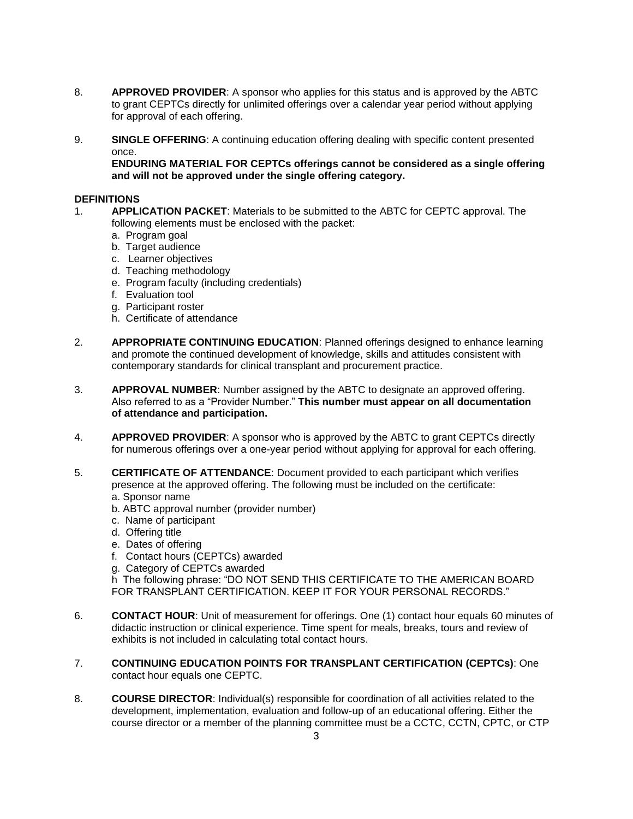- 8. **APPROVED PROVIDER**: A sponsor who applies for this status and is approved by the ABTC to grant CEPTCs directly for unlimited offerings over a calendar year period without applying for approval of each offering.
- 9. **SINGLE OFFERING**: A continuing education offering dealing with specific content presented once.

**ENDURING MATERIAL FOR CEPTCs offerings cannot be considered as a single offering and will not be approved under the single offering category.**

## **DEFINITIONS**

- 1. **APPLICATION PACKET**: Materials to be submitted to the ABTC for CEPTC approval. The following elements must be enclosed with the packet:
	- a. Program goal
	- b. Target audience
	- c. Learner objectives
	- d. Teaching methodology
	- e. Program faculty (including credentials)
	- f. Evaluation tool
	- g. Participant roster
	- h. Certificate of attendance
- 2. **APPROPRIATE CONTINUING EDUCATION**: Planned offerings designed to enhance learning and promote the continued development of knowledge, skills and attitudes consistent with contemporary standards for clinical transplant and procurement practice.
- 3. **APPROVAL NUMBER**: Number assigned by the ABTC to designate an approved offering. Also referred to as a "Provider Number." **This number must appear on all documentation of attendance and participation.**
- 4. **APPROVED PROVIDER**: A sponsor who is approved by the ABTC to grant CEPTCs directly for numerous offerings over a one-year period without applying for approval for each offering.
- 5. **CERTIFICATE OF ATTENDANCE**: Document provided to each participant which verifies presence at the approved offering. The following must be included on the certificate:
	- a. Sponsor name
	- b. ABTC approval number (provider number)
	- c. Name of participant
	- d. Offering title
	- e. Dates of offering
	- f. Contact hours (CEPTCs) awarded
	- g. Category of CEPTCs awarded

h The following phrase: "DO NOT SEND THIS CERTIFICATE TO THE AMERICAN BOARD FOR TRANSPLANT CERTIFICATION. KEEP IT FOR YOUR PERSONAL RECORDS."

- 6. **CONTACT HOUR**: Unit of measurement for offerings. One (1) contact hour equals 60 minutes of didactic instruction or clinical experience. Time spent for meals, breaks, tours and review of exhibits is not included in calculating total contact hours.
- 7. **CONTINUING EDUCATION POINTS FOR TRANSPLANT CERTIFICATION (CEPTCs)**: One contact hour equals one CEPTC.
- 8. **COURSE DIRECTOR**: Individual(s) responsible for coordination of all activities related to the development, implementation, evaluation and follow-up of an educational offering. Either the course director or a member of the planning committee must be a CCTC, CCTN, CPTC, or CTP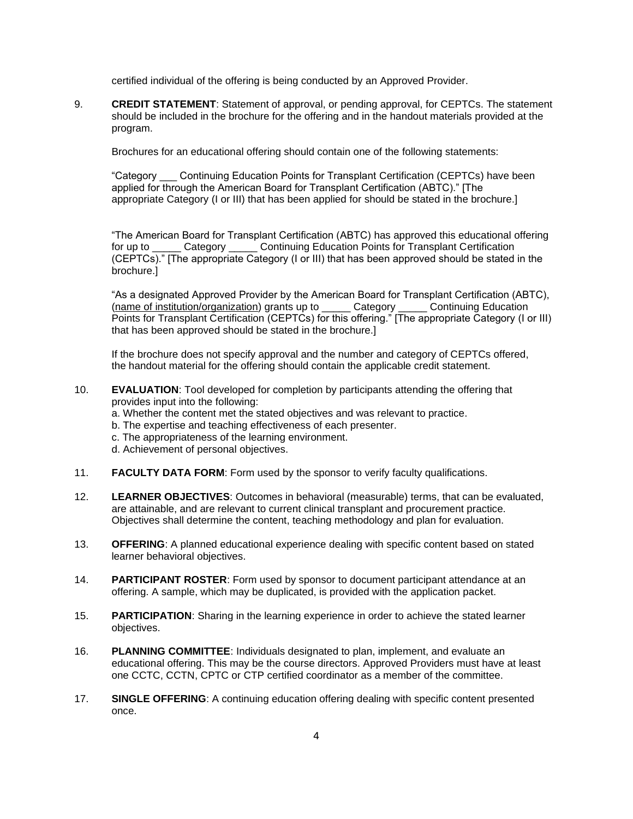certified individual of the offering is being conducted by an Approved Provider.

9. **CREDIT STATEMENT**: Statement of approval, or pending approval, for CEPTCs. The statement should be included in the brochure for the offering and in the handout materials provided at the program.

Brochures for an educational offering should contain one of the following statements:

"Category \_\_\_ Continuing Education Points for Transplant Certification (CEPTCs) have been applied for through the American Board for Transplant Certification (ABTC)." [The appropriate Category (I or III) that has been applied for should be stated in the brochure.]

"The American Board for Transplant Certification (ABTC) has approved this educational offering for up to \_\_\_\_\_ Category \_\_\_\_\_ Continuing Education Points for Transplant Certification (CEPTCs)." [The appropriate Category (I or III) that has been approved should be stated in the brochure.]

"As a designated Approved Provider by the American Board for Transplant Certification (ABTC), (name of institution/organization) grants up to \_\_\_\_\_ Category \_\_\_\_\_ Continuing Education Points for Transplant Certification (CEPTCs) for this offering." [The appropriate Category (I or III) that has been approved should be stated in the brochure.]

If the brochure does not specify approval and the number and category of CEPTCs offered, the handout material for the offering should contain the applicable credit statement.

- 10. **EVALUATION**: Tool developed for completion by participants attending the offering that provides input into the following:
	- a. Whether the content met the stated objectives and was relevant to practice.
	- b. The expertise and teaching effectiveness of each presenter.
	- c. The appropriateness of the learning environment.
	- d. Achievement of personal objectives.
- 11. **FACULTY DATA FORM**: Form used by the sponsor to verify faculty qualifications.
- 12. **LEARNER OBJECTIVES**: Outcomes in behavioral (measurable) terms, that can be evaluated, are attainable, and are relevant to current clinical transplant and procurement practice. Objectives shall determine the content, teaching methodology and plan for evaluation.
- 13. **OFFERING**: A planned educational experience dealing with specific content based on stated learner behavioral objectives.
- 14. **PARTICIPANT ROSTER**: Form used by sponsor to document participant attendance at an offering. A sample, which may be duplicated, is provided with the application packet.
- 15. **PARTICIPATION**: Sharing in the learning experience in order to achieve the stated learner objectives.
- 16. **PLANNING COMMITTEE**: Individuals designated to plan, implement, and evaluate an educational offering. This may be the course directors. Approved Providers must have at least one CCTC, CCTN, CPTC or CTP certified coordinator as a member of the committee.
- 17. **SINGLE OFFERING**: A continuing education offering dealing with specific content presented once.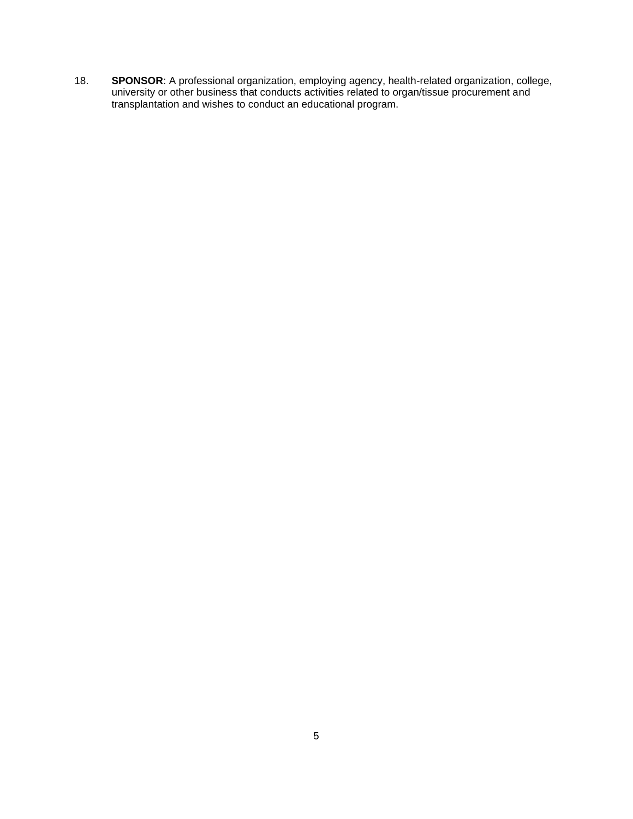18. **SPONSOR**: A professional organization, employing agency, health-related organization, college, university or other business that conducts activities related to organ/tissue procurement and transplantation and wishes to conduct an educational program.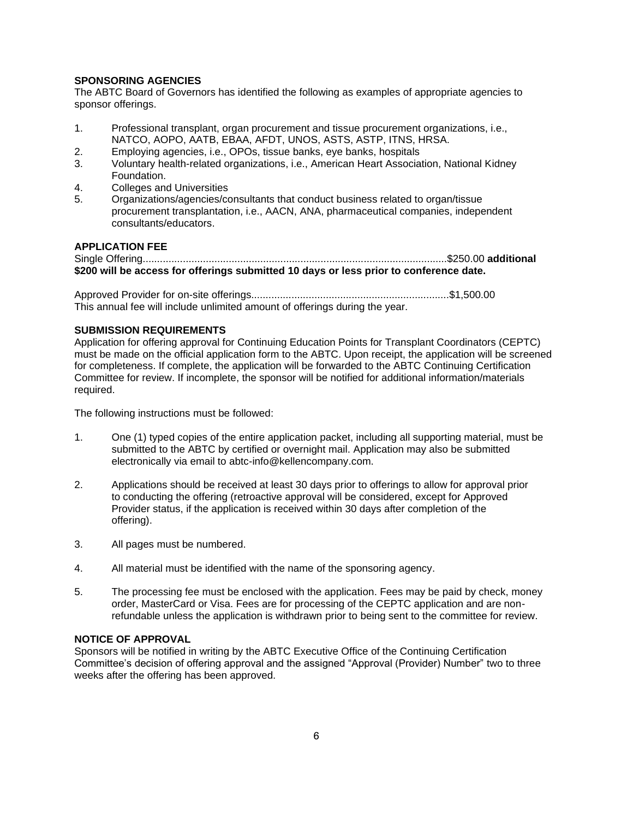## **SPONSORING AGENCIES**

The ABTC Board of Governors has identified the following as examples of appropriate agencies to sponsor offerings.

- 1. Professional transplant, organ procurement and tissue procurement organizations, i.e., NATCO, AOPO, AATB, EBAA, AFDT, UNOS, ASTS, ASTP, ITNS, HRSA.
- 2. Employing agencies, i.e., OPOs, tissue banks, eye banks, hospitals
- 3. Voluntary health-related organizations, i.e., American Heart Association, National Kidney Foundation.
- 4. Colleges and Universities
- 5. Organizations/agencies/consultants that conduct business related to organ/tissue procurement transplantation, i.e., AACN, ANA, pharmaceutical companies, independent consultants/educators.

## **APPLICATION FEE**

```
Single Offering..........................................................................................................$250.00 additional 
$200 will be access for offerings submitted 10 days or less prior to conference date.
```
Approved Provider for on-site offerings.....................................................................\$1,500.00 This annual fee will include unlimited amount of offerings during the year.

## **SUBMISSION REQUIREMENTS**

Application for offering approval for Continuing Education Points for Transplant Coordinators (CEPTC) must be made on the official application form to the ABTC. Upon receipt, the application will be screened for completeness. If complete, the application will be forwarded to the ABTC Continuing Certification Committee for review. If incomplete, the sponsor will be notified for additional information/materials required.

The following instructions must be followed:

- 1. One (1) typed copies of the entire application packet, including all supporting material, must be submitted to the ABTC by certified or overnight mail. Application may also be submitted electronically via email to abtc-info@kellencompany.com.
- 2. Applications should be received at least 30 days prior to offerings to allow for approval prior to conducting the offering (retroactive approval will be considered, except for Approved Provider status, if the application is received within 30 days after completion of the offering).
- 3. All pages must be numbered.
- 4. All material must be identified with the name of the sponsoring agency.
- 5. The processing fee must be enclosed with the application. Fees may be paid by check, money order, MasterCard or Visa. Fees are for processing of the CEPTC application and are nonrefundable unless the application is withdrawn prior to being sent to the committee for review.

### **NOTICE OF APPROVAL**

Sponsors will be notified in writing by the ABTC Executive Office of the Continuing Certification Committee's decision of offering approval and the assigned "Approval (Provider) Number" two to three weeks after the offering has been approved.